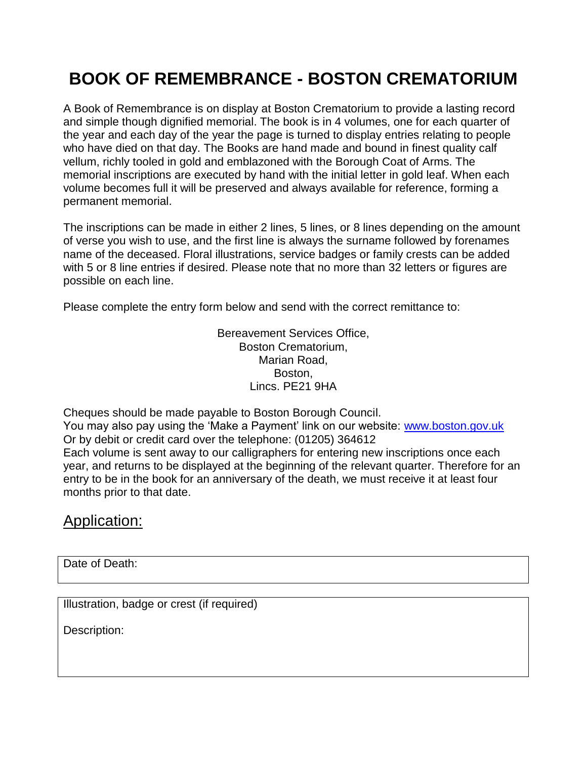## **BOOK OF REMEMBRANCE - BOSTON CREMATORIUM**

A Book of Remembrance is on display at Boston Crematorium to provide a lasting record and simple though dignified memorial. The book is in 4 volumes, one for each quarter of the year and each day of the year the page is turned to display entries relating to people who have died on that day. The Books are hand made and bound in finest quality calf vellum, richly tooled in gold and emblazoned with the Borough Coat of Arms. The memorial inscriptions are executed by hand with the initial letter in gold leaf. When each volume becomes full it will be preserved and always available for reference, forming a permanent memorial.

The inscriptions can be made in either 2 lines, 5 lines, or 8 lines depending on the amount of verse you wish to use, and the first line is always the surname followed by forenames name of the deceased. Floral illustrations, service badges or family crests can be added with 5 or 8 line entries if desired. Please note that no more than 32 letters or figures are possible on each line.

Please complete the entry form below and send with the correct remittance to:

Bereavement Services Office, Boston Crematorium, Marian Road, Boston, Lincs. PE21 9HA

Cheques should be made payable to Boston Borough Council. You may also pay using the 'Make a Payment' link on our website: [www.boston.gov.uk](http://www.boston.gov.uk/) Or by debit or credit card over the telephone: (01205) 364612 Each volume is sent away to our calligraphers for entering new inscriptions once each year, and returns to be displayed at the beginning of the relevant quarter. Therefore for an entry to be in the book for an anniversary of the death, we must receive it at least four months prior to that date.

## Application:

Date of Death:

Illustration, badge or crest (if required)

Description: